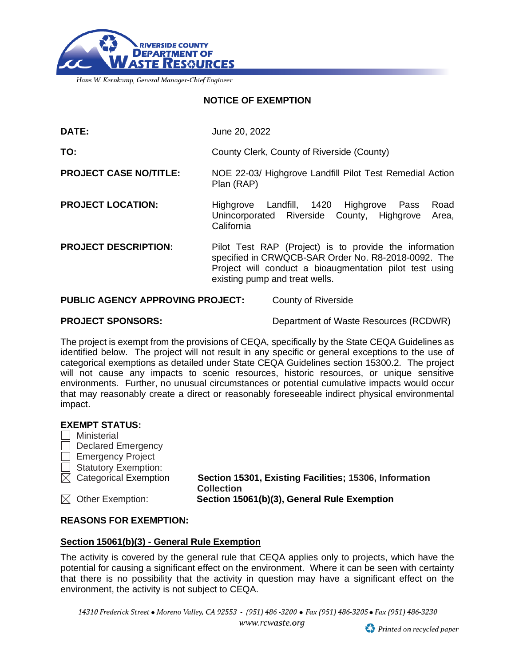

Hans W. Kernkamp, General Manager-Chief Engineer

## **NOTICE OF EXEMPTION**

| DATE:                                                                 | June 20, 2022                                                                                                                                                                                              |  |
|-----------------------------------------------------------------------|------------------------------------------------------------------------------------------------------------------------------------------------------------------------------------------------------------|--|
| TO:                                                                   | County Clerk, County of Riverside (County)                                                                                                                                                                 |  |
| <b>PROJECT CASE NO/TITLE:</b>                                         | NOE 22-03/ Highgrove Landfill Pilot Test Remedial Action<br>Plan (RAP)                                                                                                                                     |  |
| <b>PROJECT LOCATION:</b>                                              | Road<br>Landfill, 1420 Highgrove<br>Highgrove<br>Pass<br>Unincorporated Riverside County, Highgrove<br>Area,<br>California                                                                                 |  |
| <b>PROJECT DESCRIPTION:</b>                                           | Pilot Test RAP (Project) is to provide the information<br>specified in CRWQCB-SAR Order No. R8-2018-0092. The<br>Project will conduct a bioaugmentation pilot test using<br>existing pump and treat wells. |  |
| <b>PUBLIC AGENCY APPROVING PROJECT:</b><br><b>County of Riverside</b> |                                                                                                                                                                                                            |  |

**PROJECT SPONSORS:** Department of Waste Resources (RCDWR)

The project is exempt from the provisions of CEQA, specifically by the State CEQA Guidelines as identified below. The project will not result in any specific or general exceptions to the use of categorical exemptions as detailed under State CEQA Guidelines section 15300.2. The project will not cause any impacts to scenic resources, historic resources, or unique sensitive environments. Further, no unusual circumstances or potential cumulative impacts would occur that may reasonably create a direct or reasonably foreseeable indirect physical environmental impact.

## **EXEMPT STATUS:**

|        | Ministerial                       |                                                                             |
|--------|-----------------------------------|-----------------------------------------------------------------------------|
| $\Box$ | <b>Declared Emergency</b>         |                                                                             |
|        | $\Box$ Emergency Project          |                                                                             |
|        | $\Box$ Statutory Exemption:       |                                                                             |
|        | $\boxtimes$ Categorical Exemption | Section 15301, Existing Facilities; 15306, Information<br><b>Collection</b> |
|        | $\boxtimes$ Other Exemption:      | Section 15061(b)(3), General Rule Exemption                                 |

# **REASONS FOR EXEMPTION:**

## **Section 15061(b)(3) - General Rule Exemption**

The activity is covered by the general rule that CEQA applies only to projects, which have the potential for causing a significant effect on the environment. Where it can be seen with certainty that there is no possibility that the activity in question may have a significant effect on the environment, the activity is not subject to CEQA.

14310 Frederick Street • Moreno Valley, CA 92553 - (951) 486-3200 • Fax (951) 486-3205 • Fax (951) 486-3230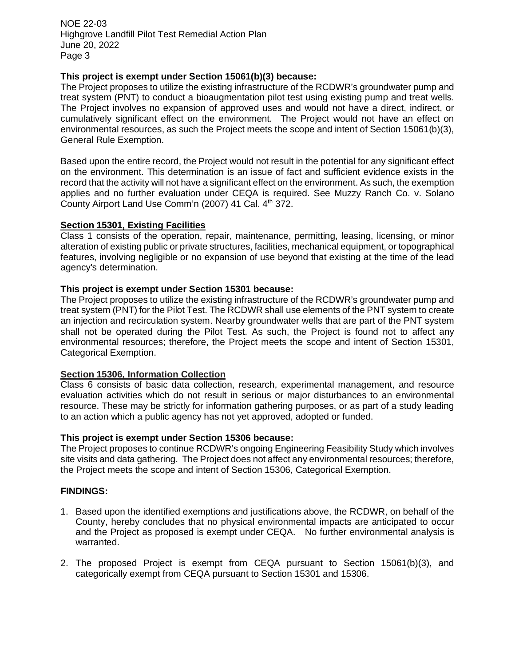NOE 22-03 Highgrove Landfill Pilot Test Remedial Action Plan June 20, 2022 Page 3

# **This project is exempt under Section 15061(b)(3) because:**

The Project proposes to utilize the existing infrastructure of the RCDWR's groundwater pump and treat system (PNT) to conduct a bioaugmentation pilot test using existing pump and treat wells. The Project involves no expansion of approved uses and would not have a direct, indirect, or cumulatively significant effect on the environment. The Project would not have an effect on environmental resources, as such the Project meets the scope and intent of Section 15061(b)(3), General Rule Exemption.

Based upon the entire record, the Project would not result in the potential for any significant effect on the environment. This determination is an issue of fact and sufficient evidence exists in the record that the activity will not have a significant effect on the environment. As such, the exemption applies and no further evaluation under CEQA is required. See Muzzy Ranch Co. v. Solano County Airport Land Use Comm'n (2007) 41 Cal. 4<sup>th</sup> 372.

# **Section 15301, Existing Facilities**

Class 1 consists of the operation, repair, maintenance, permitting, leasing, licensing, or minor alteration of existing public or private structures, facilities, mechanical equipment, or topographical features, involving negligible or no expansion of use beyond that existing at the time of the lead agency's determination.

# **This project is exempt under Section 15301 because:**

The Project proposes to utilize the existing infrastructure of the RCDWR's groundwater pump and treat system (PNT) for the Pilot Test. The RCDWR shall use elements of the PNT system to create an injection and recirculation system. Nearby groundwater wells that are part of the PNT system shall not be operated during the Pilot Test. As such, the Project is found not to affect any environmental resources; therefore, the Project meets the scope and intent of Section 15301, Categorical Exemption.

# **Section 15306, Information Collection**

Class 6 consists of basic data collection, research, experimental management, and resource evaluation activities which do not result in serious or major disturbances to an environmental resource. These may be strictly for information gathering purposes, or as part of a study leading to an action which a public agency has not yet approved, adopted or funded.

#### **This project is exempt under Section 15306 because:**

The Project proposes to continue RCDWR's ongoing Engineering Feasibility Study which involves site visits and data gathering. The Project does not affect any environmental resources; therefore, the Project meets the scope and intent of Section 15306, Categorical Exemption.

#### **FINDINGS:**

- 1. Based upon the identified exemptions and justifications above, the RCDWR, on behalf of the County, hereby concludes that no physical environmental impacts are anticipated to occur and the Project as proposed is exempt under CEQA. No further environmental analysis is warranted.
- 2. The proposed Project is exempt from CEQA pursuant to Section 15061(b)(3), and categorically exempt from CEQA pursuant to Section 15301 and 15306.